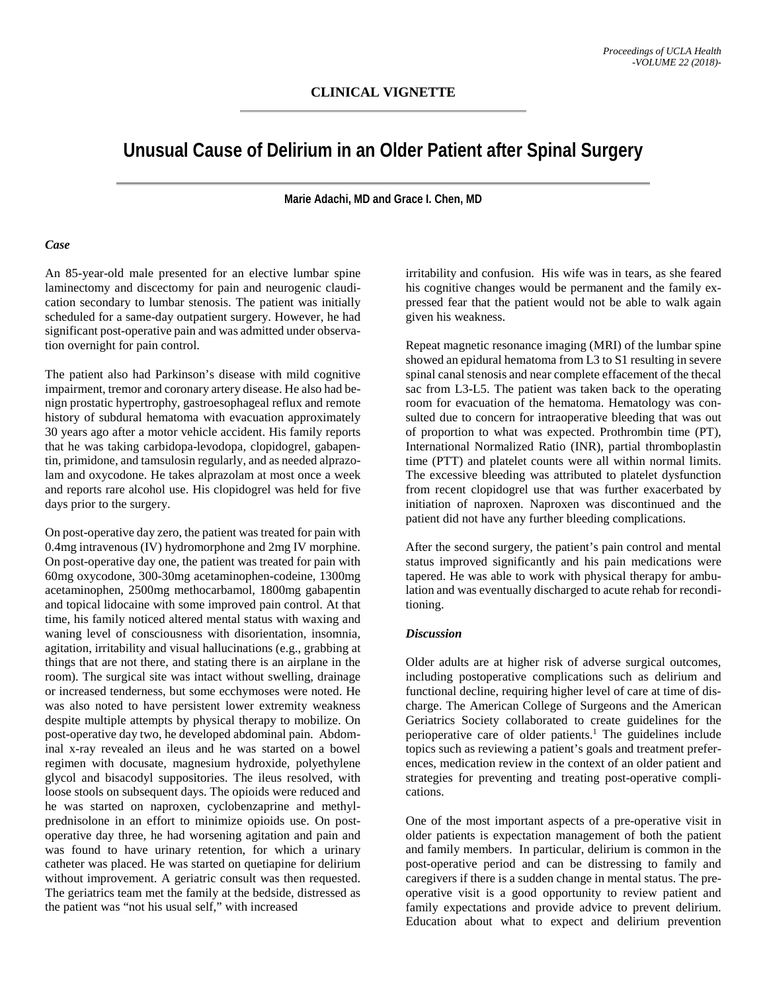## **Unusual Cause of Delirium in an Older Patient after Spinal Surgery**

**Marie Adachi, MD and Grace I. Chen, MD**

## *Case*

An 85-year-old male presented for an elective lumbar spine laminectomy and discectomy for pain and neurogenic claudication secondary to lumbar stenosis. The patient was initially scheduled for a same-day outpatient surgery. However, he had significant post-operative pain and was admitted under observation overnight for pain control.

The patient also had Parkinson's disease with mild cognitive impairment, tremor and coronary artery disease. He also had benign prostatic hypertrophy, gastroesophageal reflux and remote history of subdural hematoma with evacuation approximately 30 years ago after a motor vehicle accident. His family reports that he was taking carbidopa-levodopa, clopidogrel, gabapentin, primidone, and tamsulosin regularly, and as needed alprazolam and oxycodone. He takes alprazolam at most once a week and reports rare alcohol use. His clopidogrel was held for five days prior to the surgery.

On post-operative day zero, the patient was treated for pain with 0.4mg intravenous (IV) hydromorphone and 2mg IV morphine. On post-operative day one, the patient was treated for pain with 60mg oxycodone, 300-30mg acetaminophen-codeine, 1300mg acetaminophen, 2500mg methocarbamol, 1800mg gabapentin and topical lidocaine with some improved pain control. At that time, his family noticed altered mental status with waxing and waning level of consciousness with disorientation, insomnia, agitation, irritability and visual hallucinations (e.g., grabbing at things that are not there, and stating there is an airplane in the room). The surgical site was intact without swelling, drainage or increased tenderness, but some ecchymoses were noted. He was also noted to have persistent lower extremity weakness despite multiple attempts by physical therapy to mobilize. On post-operative day two, he developed abdominal pain. Abdominal x-ray revealed an ileus and he was started on a bowel regimen with docusate, magnesium hydroxide, polyethylene glycol and bisacodyl suppositories. The ileus resolved, with loose stools on subsequent days. The opioids were reduced and he was started on naproxen, cyclobenzaprine and methylprednisolone in an effort to minimize opioids use. On postoperative day three, he had worsening agitation and pain and was found to have urinary retention, for which a urinary catheter was placed. He was started on quetiapine for delirium without improvement. A geriatric consult was then requested. The geriatrics team met the family at the bedside, distressed as the patient was "not his usual self," with increased

irritability and confusion. His wife was in tears, as she feared his cognitive changes would be permanent and the family expressed fear that the patient would not be able to walk again given his weakness.

Repeat magnetic resonance imaging (MRI) of the lumbar spine showed an epidural hematoma from L3 to S1 resulting in severe spinal canal stenosis and near complete effacement of the thecal sac from L3-L5. The patient was taken back to the operating room for evacuation of the hematoma. Hematology was consulted due to concern for intraoperative bleeding that was out of proportion to what was expected. Prothrombin time (PT), International Normalized Ratio (INR), partial thromboplastin time (PTT) and platelet counts were all within normal limits. The excessive bleeding was attributed to platelet dysfunction from recent clopidogrel use that was further exacerbated by initiation of naproxen. Naproxen was discontinued and the patient did not have any further bleeding complications.

After the second surgery, the patient's pain control and mental status improved significantly and his pain medications were tapered. He was able to work with physical therapy for ambulation and was eventually discharged to acute rehab for reconditioning.

## *Discussion*

Older adults are at higher risk of adverse surgical outcomes, including postoperative complications such as delirium and functional decline, requiring higher level of care at time of discharge. The American College of Surgeons and the American Geriatrics Society collaborated to create guidelines for the perioperative care of older patients. <sup>1</sup> The guidelines include topics such as reviewing a patient's goals and treatment preferences, medication review in the context of an older patient and strategies for preventing and treating post-operative complications.

One of the most important aspects of a pre-operative visit in older patients is expectation management of both the patient and family members. In particular, delirium is common in the post-operative period and can be distressing to family and caregivers if there is a sudden change in mental status. The preoperative visit is a good opportunity to review patient and family expectations and provide advice to prevent delirium. Education about what to expect and delirium prevention